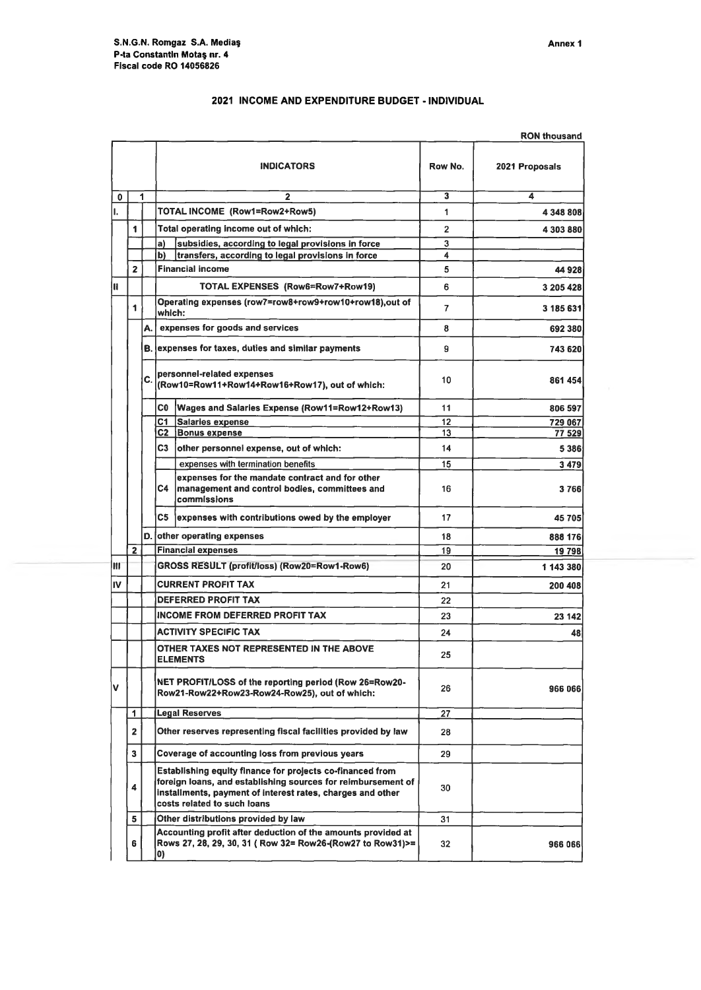|   |                |                     | 2021 INCOME AND EXPENDITURE BUDGET - INDIVIDUAL                              |                         |                |
|---|----------------|---------------------|------------------------------------------------------------------------------|-------------------------|----------------|
|   |                | <b>RON thousand</b> |                                                                              |                         |                |
|   |                |                     | <b>INDICATORS</b>                                                            | Row No.                 | 2021 Proposals |
| O | 1              |                     | $\overline{2}$                                                               | $\overline{\mathbf{3}}$ | 4              |
|   |                |                     | TOTAL INCOME (Row1=Row2+Row5)                                                | 1                       | 4 348 808      |
|   | 1              |                     | Total operating income out of which:                                         | $\overline{2}$          | 4 303 880      |
|   |                |                     | subsidies, according to legal provisions in force<br>a)                      | 3                       |                |
|   |                |                     | P)<br>transfers, according to legal provisions in force                      | 4                       |                |
|   | $\overline{2}$ |                     | <b>Financial income</b>                                                      | 5                       | 44 928         |
|   |                |                     | TOTAL EXPENSES (Row6=Row7+Row19)                                             | 6                       | 3 205 428      |
|   | 1              |                     | Operating expenses (row7=row8+row9+row10+row18),out of<br>which:             | 7                       | 3 185 631      |
|   |                | A.                  | expenses for goods and services                                              | 8                       | 692 380        |
|   |                |                     | <b>B.</b> expenses for taxes, duties and similar payments                    | 9                       | 743 620        |
|   |                | C                   | personnel-related expenses<br>(Row10=Row11+Row14+Row16+Row17), out of which: | 10                      | 861 454        |
|   |                |                     | C <sub>0</sub><br>Wages and Salaries Expense (Row11=Row12+Row13)             | 11                      | 806 597        |
|   |                |                     | C1<br><b>Salaries expense</b>                                                | 12                      | 729 067        |
|   |                |                     | C2<br><b>Bonus expense</b>                                                   | 13                      | 77 529         |
|   |                |                     | C <sub>3</sub><br>other personnel expense, out of which:                     | 14                      | 5 3 8 6        |

|    |                         | A. |                                                                                                         | expenses for goods and services                                                                                                                                                                                        | 8  | 692 380   |
|----|-------------------------|----|---------------------------------------------------------------------------------------------------------|------------------------------------------------------------------------------------------------------------------------------------------------------------------------------------------------------------------------|----|-----------|
|    |                         |    |                                                                                                         | B. expenses for taxes, duties and similar payments                                                                                                                                                                     | 9  | 743 620   |
|    |                         | C. | personnel-related expenses<br>(Row10=Row11+Row14+Row16+Row17), out of which:                            |                                                                                                                                                                                                                        | 10 | 861 454   |
|    |                         |    | C0                                                                                                      | Wages and Salaries Expense (Row11=Row12+Row13)                                                                                                                                                                         | 11 | 806 597   |
|    |                         |    | C1                                                                                                      | Salaries expense                                                                                                                                                                                                       | 12 | 729 067   |
|    |                         |    |                                                                                                         | C2 Bonus expense                                                                                                                                                                                                       | 13 | 77 529    |
|    |                         |    | C3                                                                                                      | other personnel expense, out of which:                                                                                                                                                                                 | 14 | 5 3 8 6   |
|    |                         |    |                                                                                                         | expenses with termination benefits                                                                                                                                                                                     | 15 | 3 4 7 9   |
|    |                         |    | C4                                                                                                      | expenses for the mandate contract and for other<br>management and control bodies, committees and<br>commissions                                                                                                        | 16 | 3766      |
|    |                         |    |                                                                                                         | C5 expenses with contributions owed by the employer                                                                                                                                                                    | 17 | 45705     |
|    |                         |    |                                                                                                         | D. other operating expenses                                                                                                                                                                                            | 18 | 888 176   |
|    | $\overline{\mathbf{2}}$ |    |                                                                                                         | <b>Financial expenses</b>                                                                                                                                                                                              | 19 | 19 798    |
| Iш |                         |    | GROSS RESULT (profit/loss) (Row20=Row1-Row6)                                                            |                                                                                                                                                                                                                        | 20 | 1 143 380 |
| IV |                         |    | <b>CURRENT PROFIT TAX</b>                                                                               |                                                                                                                                                                                                                        | 21 | 200 408   |
|    |                         |    | <b>DEFERRED PROFIT TAX</b>                                                                              |                                                                                                                                                                                                                        | 22 |           |
|    |                         |    | <b>INCOME FROM DEFERRED PROFIT TAX</b>                                                                  |                                                                                                                                                                                                                        | 23 | 23 142    |
|    |                         |    | <b>ACTIVITY SPECIFIC TAX</b>                                                                            |                                                                                                                                                                                                                        | 24 | 48        |
|    |                         |    | OTHER TAXES NOT REPRESENTED IN THE ABOVE<br><b>ELEMENTS</b>                                             |                                                                                                                                                                                                                        | 25 |           |
| v  |                         |    | NET PROFIT/LOSS of the reporting period (Row 26=Row20-<br>Row21-Row22+Row23-Row24-Row25), out of which: |                                                                                                                                                                                                                        | 26 | 966 066   |
|    | 1                       |    |                                                                                                         | <b>Legal Reserves</b>                                                                                                                                                                                                  | 27 |           |
|    | $\overline{2}$          |    | Other reserves representing fiscal facilities provided by law                                           |                                                                                                                                                                                                                        | 28 |           |
|    | 3                       |    | Coverage of accounting loss from previous years                                                         |                                                                                                                                                                                                                        | 29 |           |
|    | 4                       |    |                                                                                                         | Establishing equity finance for projects co-financed from<br>foreign loans, and establishing sources for reimbursement of<br>installments, payment of interest rates, charges and other<br>costs related to such loans | 30 |           |
|    | 5                       |    |                                                                                                         | Other distributions provided by law                                                                                                                                                                                    | 31 |           |
|    | 6                       |    | O)                                                                                                      | Accounting profit after deduction of the amounts provided at<br>Rows 27, 28, 29, 30, 31 ( Row 32= Row26-(Row27 to Row31)>=                                                                                             | 32 | 966 066   |